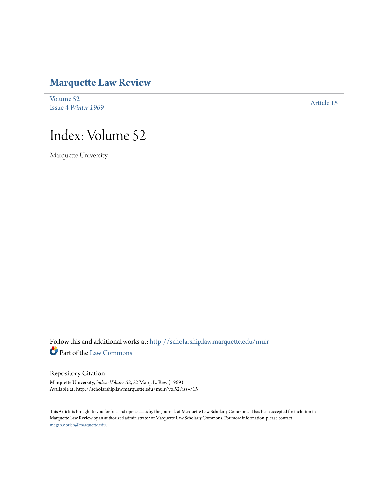# **[Marquette Law Review](http://scholarship.law.marquette.edu/mulr?utm_source=scholarship.law.marquette.edu%2Fmulr%2Fvol52%2Fiss4%2F15&utm_medium=PDF&utm_campaign=PDFCoverPages)**

| Volume 52                  | Article 15 |
|----------------------------|------------|
| <b>Issue 4 Winter 1969</b> |            |

# Index: Volume 52

Marquette University

Follow this and additional works at: [http://scholarship.law.marquette.edu/mulr](http://scholarship.law.marquette.edu/mulr?utm_source=scholarship.law.marquette.edu%2Fmulr%2Fvol52%2Fiss4%2F15&utm_medium=PDF&utm_campaign=PDFCoverPages) Part of the [Law Commons](http://network.bepress.com/hgg/discipline/578?utm_source=scholarship.law.marquette.edu%2Fmulr%2Fvol52%2Fiss4%2F15&utm_medium=PDF&utm_campaign=PDFCoverPages)

#### Repository Citation

Marquette University, *Index: Volume 52*, 52 Marq. L. Rev. (1969). Available at: http://scholarship.law.marquette.edu/mulr/vol52/iss4/15

This Article is brought to you for free and open access by the Journals at Marquette Law Scholarly Commons. It has been accepted for inclusion in Marquette Law Review by an authorized administrator of Marquette Law Scholarly Commons. For more information, please contact [megan.obrien@marquette.edu.](mailto:megan.obrien@marquette.edu)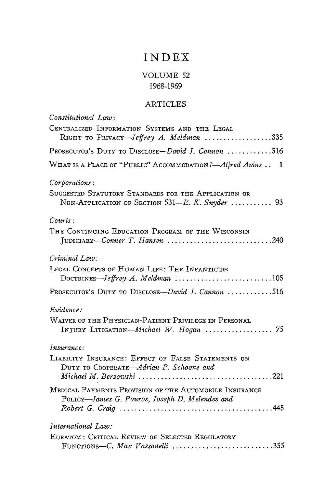## **INDEX**

## VOLUME 52 1968-1969

### ARTICLES

| Constitutional Law:                                                                                                                         |
|---------------------------------------------------------------------------------------------------------------------------------------------|
| CENTRALIZED INFORMATION SYSTEMS AND THE LEGAL                                                                                               |
| RIGHT TO PRIVACY-Jeffrey A. Meldman 335                                                                                                     |
| PROSECUTOR'S DUTY TO DISCLOSE-David J. Cannon 516                                                                                           |
| WHAT IS A PLACE OF "PUBLIC" ACCOMMODATION ?- Alfred Avins . 1                                                                               |
| Corporations:                                                                                                                               |
| SUGGESTED STATUTORY STANDARDS FOR THE APPLICATION OR<br>NON-APPLICATION OF SECTION 531-E. K. Snyder  93                                     |
| $\mathcal$ C}ourts:                                                                                                                         |
| THE CONTINUING EDUCATION PROGRAM OF THE WISCONSIN<br>JUDICIARY-Conner T. Hansen 240                                                         |
| Criminal Law:                                                                                                                               |
| LEGAL CONCEPTS OF HUMAN LIFE: THE INFANTICIDE<br>DOCTRINES-Jeffrey A. Meldman $\ldots \ldots \ldots \ldots \ldots \ldots \ldots \ldots 105$ |
| PROSECUTOR'S DUTY TO DISCLOSE-David J. Cannon 516                                                                                           |
| Evidence:                                                                                                                                   |
| WAIVER OF THE PHYSICIAN-PATIENT PRIVILEGE IN PERSONAL<br>INJURY LITIGATION-Michael W. Hogan  75                                             |
| Insurance:                                                                                                                                  |
| LIABILITY INSURANCE: EFFECT OF FALSE STATEMENTS ON<br>DUTY TO COOPERATE-Adrian P. Schoone and                                               |
| MEDICAL PAYMENTS PROVISION OF THE AUTOMOBILE INSURANCE<br>POLICY-James G. Pouros, Joseph D. Melendes and                                    |
| International Law:                                                                                                                          |
| EURATOM: CRITICAL REVIEW OF SELECTED REGULATORY                                                                                             |
| FUNCTIONS-C. Max Vassanelli 355                                                                                                             |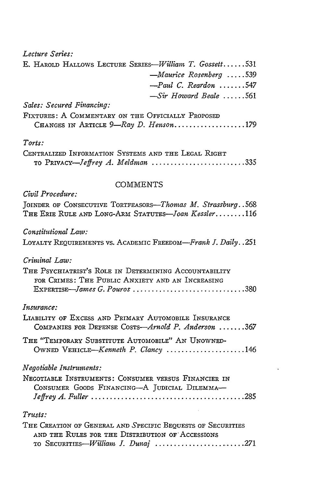*Lecture Series:* E. HAROLD HALLOWS LECTURE *SERIES-William T. Gossett ......* **<sup>531</sup>** *-Maurice Rosenberg .....* **539** *-Paul C. Reardon .......* <sup>547</sup> *-Sir Howard Beale ......* **<sup>561</sup>** *Sales: Secured Financing:* FIXTURES: A COMMENTARY ON THE OFFICIALLY PROPOSED CHANGES IN ARTICLE *9-Ray D. Henson ...................* **<sup>179</sup>** *Torts:* CENTRALIZED INFORMATION SYSTEMS **AND** THE LEGAL RIGHT TO *PRIVACY-Jeffrey A. Meldman ......................... 335* **COMMENTS** *Civil Procedure:* JOINDER OF CONSECUTIVE TORTFEASORS-Thomas *M. Strassburg.*.568 THE ERIE RULE AND LONG-ARM STATUTES-Joan *Kessler* ........ **116** *Constitutional Law:* LOYALTY REQUIREMENTS VS. ACADEMIC *FREEDoM-Frank I. Daily..251 Criminal Law:* THE PSYCHIATRIST'S ROLE **IN DETERMINING** ACCOUNTABILITY FOR CRIMES: THE PUBLIC ANXIETY AND AN INCREASING *EXPERTISE-James G. Pouros ..............................* **380** *Insurance:* LIABILITY OF EXCESS AND PRIMARY AUTOMOBILE INSURANCE COMPANIES FOR DEFENSE *COSTS-Arnold P. Anderson .......* **<sup>367</sup>** THE "TEMPORARY SUBSTITUTE AUTOMOBILE" AN UNOWNED-OWNED *VEHICLE-Kenneth P. Clancy .....................* 146 *Negotiable Instruments:* NEGOTIABLE INSTRUMENTS: CONSUMER VERSUS FINANCIER IN CONSUMER GOODS FINANCING-A JUDICIAL DILEMMA-*Jeffrey A. Fuller .........................................* **285** *Trusts:* THE CREATION OF GENERAL AND SPECIFIC BEQUESTS OF SECURITIES **AND** THE RULES FOR THE DISTRIBUTION OF'ACCESSIONS TO SECURITIES-William *. Dunaj ......................... 271*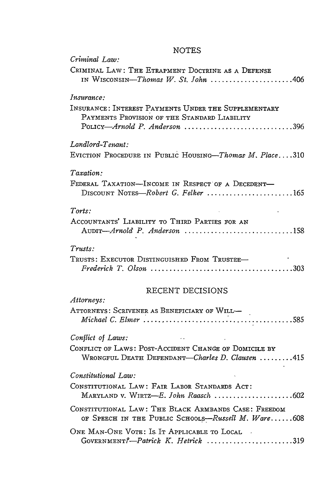### NOTES

*Criminal Law:*

| CRIMINAL LAW: THE ETRAPMENT DOCTRINE AS A DEFENSE<br>IN WISCONSIN-Thomas $W$ . St. John 406                                                                         |
|---------------------------------------------------------------------------------------------------------------------------------------------------------------------|
| <i>Insurance:</i>                                                                                                                                                   |
| INSURANCE: INTEREST PAYMENTS UNDER THE SUPPLEMENTARY<br>PAYMENTS PROVISION OF THE STANDARD LIABILITY<br>$P_{\text{OLICY}}$ —Arnold P. Anderson 396                  |
| Landlord-Tenant:                                                                                                                                                    |
| EVICTION PROCEDURE IN PUBLIC HOUSING-Thomas M. Place310                                                                                                             |
| Taxation:                                                                                                                                                           |
| FEDERAL TAXATION-INCOME IN RESPECT OF A DECEDENT-<br>DISCOUNT NOTES-Robert G. Felker 165                                                                            |
| Torts:                                                                                                                                                              |
| ACCOUNTANTS' LIABILITY TO THIRD PARTIES FOR AN<br>Audin-Arnold P. Anderson 158                                                                                      |
| $Trusts$ :                                                                                                                                                          |
| TRUSTS: EXECUTOR DISTINGUISHED FROM TRUSTEE-<br>Frederick T. Olson $\ldots \ldots \ldots \ldots \ldots \ldots \ldots \ldots \ldots \ldots \ldots \ldots \ldots 303$ |
| RECENT DECISIONS                                                                                                                                                    |
| Attorneys:                                                                                                                                                          |
| ATTORNEYS: SCRIVENER AS BENEFICIARY OF WILL-                                                                                                                        |
| Conflict of Laws:                                                                                                                                                   |
| CONFLICT OF LAWS: POST-ACCIDENT CHANGE OF DOMICILE BY<br>WRONGFUL DEATH DEFENDANT-Charles D. Clausen 415                                                            |
| Constitutional Law:                                                                                                                                                 |
| CONSTITUTIONAL LAW: FAIR LABOR STANDARDS ACT:                                                                                                                       |
| CONSTITUTIONAL LAW: THE BLACK ARMBANDS CASE: FREEDOM<br>OF SPEECH IN THE PUBLIC SCHOOLS-Russell M. Ware608                                                          |
| ONE MAN-ONE VOTE: IS IT APPLICABLE TO LOCAL<br>GOVERNMENT?-Patrick K. Hetrick 319                                                                                   |